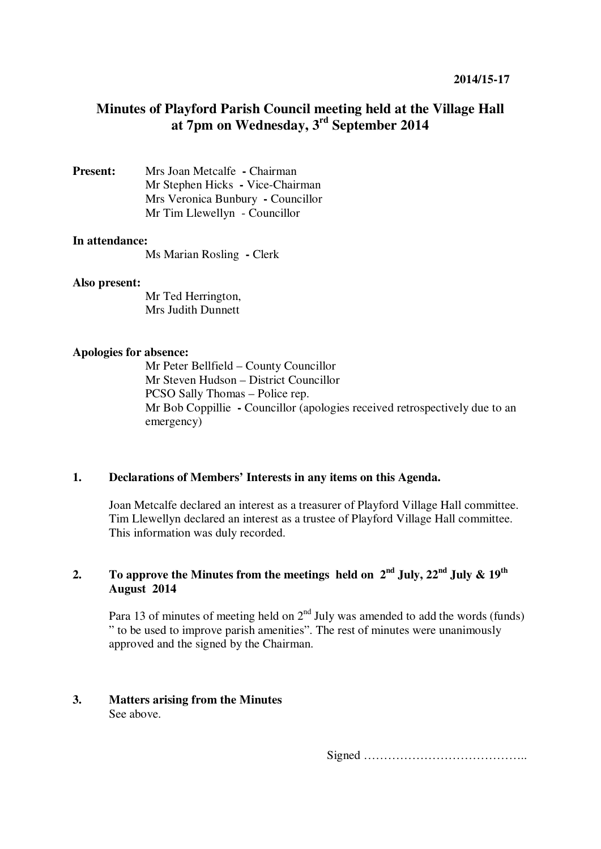# **Minutes of Playford Parish Council meeting held at the Village Hall at 7pm on Wednesday, 3rd September 2014**

**Present:** Mrs Joan Metcalfe **-** Chairman Mr Stephen Hicks **-** Vice-Chairman Mrs Veronica Bunbury **-** Councillor Mr Tim Llewellyn - Councillor

## **In attendance:**

Ms Marian Rosling **-** Clerk

#### **Also present:**

Mr Ted Herrington, Mrs Judith Dunnett

### **Apologies for absence:**

Mr Peter Bellfield – County Councillor Mr Steven Hudson – District Councillor PCSO Sally Thomas – Police rep. Mr Bob Coppillie **-** Councillor (apologies received retrospectively due to an emergency)

### **1. Declarations of Members' Interests in any items on this Agenda.**

Joan Metcalfe declared an interest as a treasurer of Playford Village Hall committee. Tim Llewellyn declared an interest as a trustee of Playford Village Hall committee. This information was duly recorded.

## **2. To approve the Minutes from the meetings held on**  $2^{nd}$  **July,**  $22^{nd}$  **July &**  $19^{th}$ **August 2014**

Para 13 of minutes of meeting held on  $2<sup>nd</sup>$  July was amended to add the words (funds) " to be used to improve parish amenities". The rest of minutes were unanimously approved and the signed by the Chairman.

#### **3. Matters arising from the Minutes**  See above.

Signed …………………………………..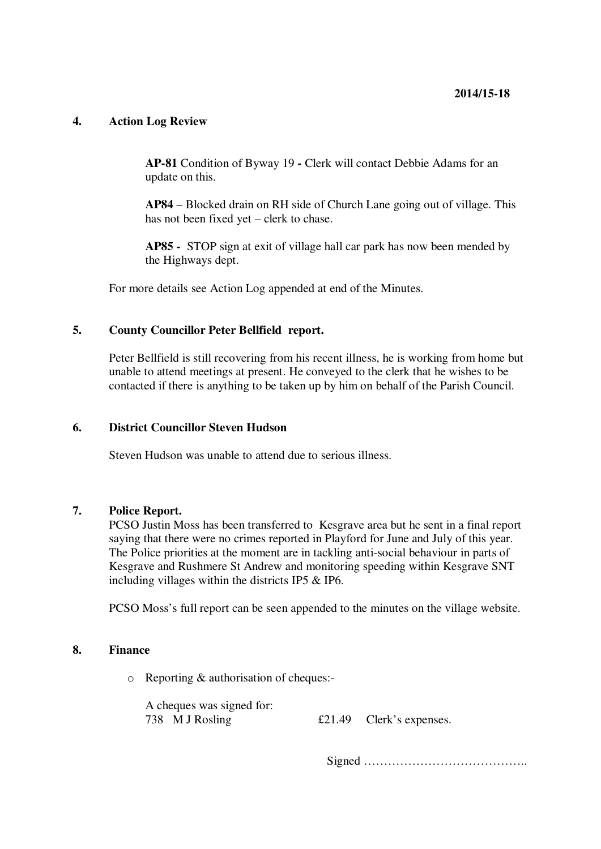## **4. Action Log Review**

**AP-81** Condition of Byway 19 **-** Clerk will contact Debbie Adams for an update on this.

**AP84** – Blocked drain on RH side of Church Lane going out of village. This has not been fixed yet – clerk to chase.

**AP85 -** STOP sign at exit of village hall car park has now been mended by the Highways dept.

For more details see Action Log appended at end of the Minutes.

## **5. County Councillor Peter Bellfield report.**

Peter Bellfield is still recovering from his recent illness, he is working from home but unable to attend meetings at present. He conveyed to the clerk that he wishes to be contacted if there is anything to be taken up by him on behalf of the Parish Council.

#### **6. District Councillor Steven Hudson**

Steven Hudson was unable to attend due to serious illness.

## **7. Police Report.**

PCSO Justin Moss has been transferred to Kesgrave area but he sent in a final report saying that there were no crimes reported in Playford for June and July of this year. The Police priorities at the moment are in tackling anti-social behaviour in parts of Kesgrave and Rushmere St Andrew and monitoring speeding within Kesgrave SNT including villages within the districts IP5 & IP6.

PCSO Moss's full report can be seen appended to the minutes on the village website.

### **8. Finance**

o Reporting & authorisation of cheques:-

A cheques was signed for:

738 M J Rosling £21.49 Clerk's expenses.

Signed …………………………………..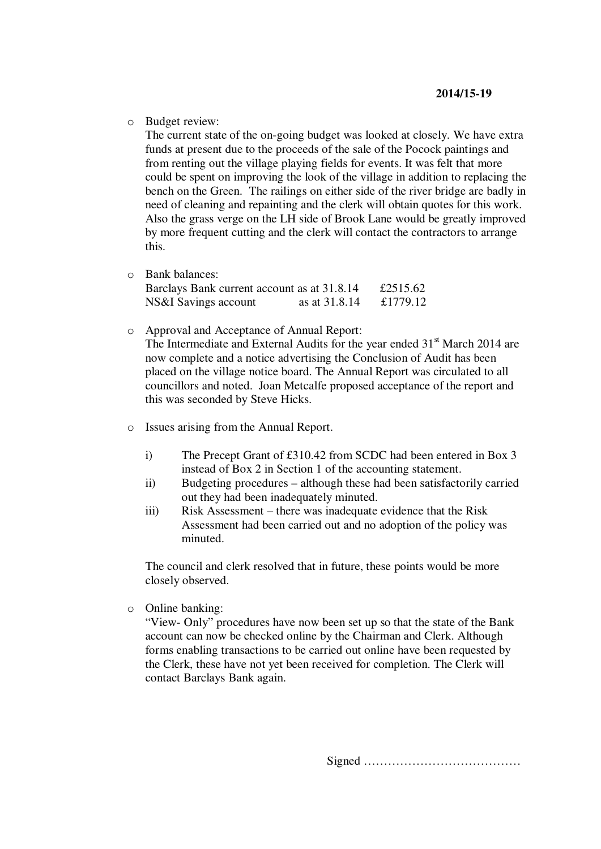o Budget review:

The current state of the on-going budget was looked at closely. We have extra funds at present due to the proceeds of the sale of the Pocock paintings and from renting out the village playing fields for events. It was felt that more could be spent on improving the look of the village in addition to replacing the bench on the Green. The railings on either side of the river bridge are badly in need of cleaning and repainting and the clerk will obtain quotes for this work. Also the grass verge on the LH side of Brook Lane would be greatly improved by more frequent cutting and the clerk will contact the contractors to arrange this.

o Bank balances:

| Barclays Bank current account as at 31.8.14 |               | £2515.62 |
|---------------------------------------------|---------------|----------|
| NS&I Savings account                        | as at 31.8.14 | £1779.12 |

o Approval and Acceptance of Annual Report:

The Intermediate and External Audits for the year ended  $31<sup>st</sup>$  March 2014 are now complete and a notice advertising the Conclusion of Audit has been placed on the village notice board. The Annual Report was circulated to all councillors and noted. Joan Metcalfe proposed acceptance of the report and this was seconded by Steve Hicks.

- o Issues arising from the Annual Report.
	- i) The Precept Grant of £310.42 from SCDC had been entered in Box 3 instead of Box 2 in Section 1 of the accounting statement.
	- ii) Budgeting procedures although these had been satisfactorily carried out they had been inadequately minuted.
	- iii) Risk Assessment there was inadequate evidence that the Risk Assessment had been carried out and no adoption of the policy was minuted.

The council and clerk resolved that in future, these points would be more closely observed.

o Online banking:

"View- Only" procedures have now been set up so that the state of the Bank account can now be checked online by the Chairman and Clerk. Although forms enabling transactions to be carried out online have been requested by the Clerk, these have not yet been received for completion. The Clerk will contact Barclays Bank again.

Signed …………………………………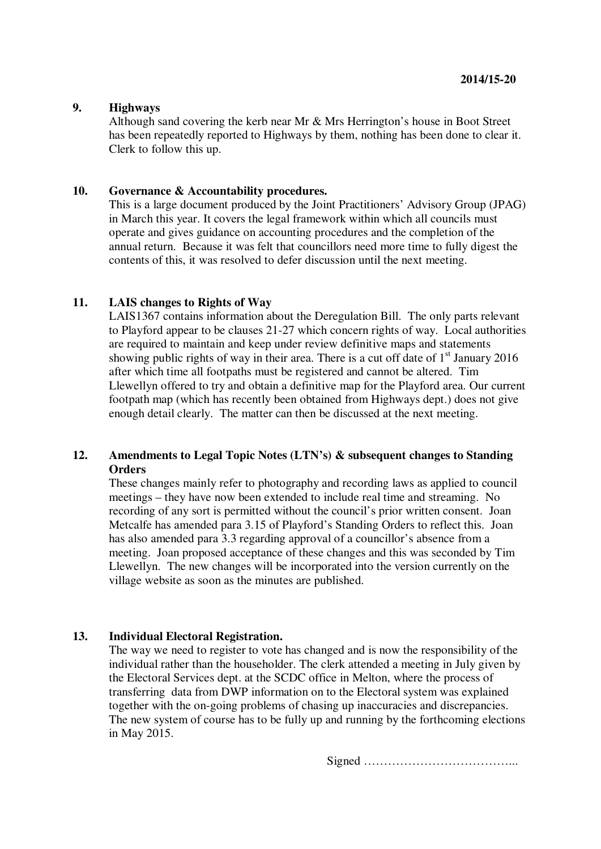## **9. Highways**

Although sand covering the kerb near Mr & Mrs Herrington's house in Boot Street has been repeatedly reported to Highways by them, nothing has been done to clear it. Clerk to follow this up.

#### **10. Governance & Accountability procedures.**

This is a large document produced by the Joint Practitioners' Advisory Group (JPAG) in March this year. It covers the legal framework within which all councils must operate and gives guidance on accounting procedures and the completion of the annual return. Because it was felt that councillors need more time to fully digest the contents of this, it was resolved to defer discussion until the next meeting.

## **11. LAIS changes to Rights of Way**

LAIS1367 contains information about the Deregulation Bill. The only parts relevant to Playford appear to be clauses 21-27 which concern rights of way. Local authorities are required to maintain and keep under review definitive maps and statements showing public rights of way in their area. There is a cut off date of  $1<sup>st</sup>$  January 2016 after which time all footpaths must be registered and cannot be altered. Tim Llewellyn offered to try and obtain a definitive map for the Playford area. Our current footpath map (which has recently been obtained from Highways dept.) does not give enough detail clearly. The matter can then be discussed at the next meeting.

## **12. Amendments to Legal Topic Notes (LTN's) & subsequent changes to Standing Orders**

These changes mainly refer to photography and recording laws as applied to council meetings – they have now been extended to include real time and streaming. No recording of any sort is permitted without the council's prior written consent. Joan Metcalfe has amended para 3.15 of Playford's Standing Orders to reflect this. Joan has also amended para 3.3 regarding approval of a councillor's absence from a meeting. Joan proposed acceptance of these changes and this was seconded by Tim Llewellyn. The new changes will be incorporated into the version currently on the village website as soon as the minutes are published.

#### **13. Individual Electoral Registration.**

The way we need to register to vote has changed and is now the responsibility of the individual rather than the householder. The clerk attended a meeting in July given by the Electoral Services dept. at the SCDC office in Melton, where the process of transferring data from DWP information on to the Electoral system was explained together with the on-going problems of chasing up inaccuracies and discrepancies. The new system of course has to be fully up and running by the forthcoming elections in May 2015.

Signed ………………………………...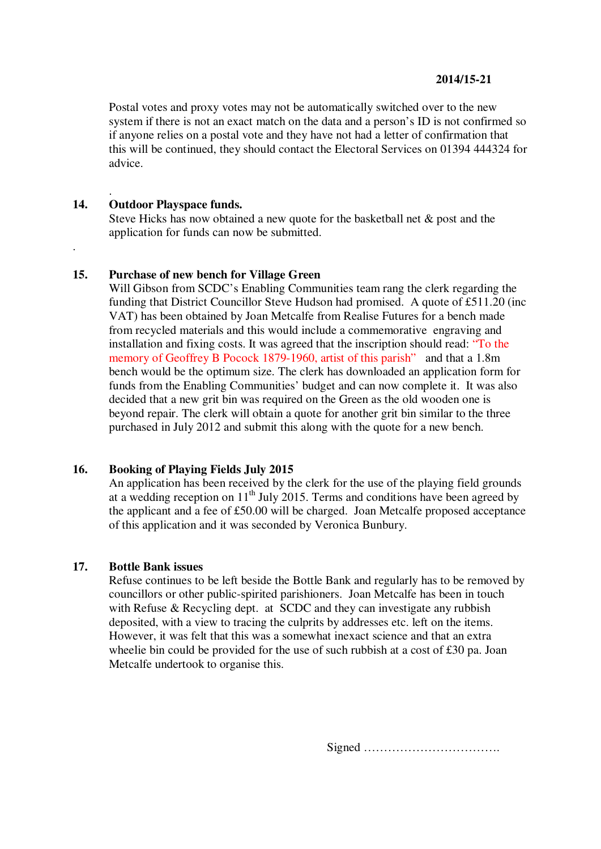### **2014/15-21**

Postal votes and proxy votes may not be automatically switched over to the new system if there is not an exact match on the data and a person's ID is not confirmed so if anyone relies on a postal vote and they have not had a letter of confirmation that this will be continued, they should contact the Electoral Services on 01394 444324 for advice.

## **14. Outdoor Playspace funds.**

.

.

Steve Hicks has now obtained a new quote for the basketball net & post and the application for funds can now be submitted.

## **15. Purchase of new bench for Village Green**

Will Gibson from SCDC's Enabling Communities team rang the clerk regarding the funding that District Councillor Steve Hudson had promised. A quote of £511.20 (inc VAT) has been obtained by Joan Metcalfe from Realise Futures for a bench made from recycled materials and this would include a commemorative engraving and installation and fixing costs. It was agreed that the inscription should read: "To the memory of Geoffrey B Pocock 1879-1960, artist of this parish" and that a 1.8m bench would be the optimum size. The clerk has downloaded an application form for funds from the Enabling Communities' budget and can now complete it. It was also decided that a new grit bin was required on the Green as the old wooden one is beyond repair. The clerk will obtain a quote for another grit bin similar to the three purchased in July 2012 and submit this along with the quote for a new bench.

#### **16. Booking of Playing Fields July 2015**

An application has been received by the clerk for the use of the playing field grounds at a wedding reception on  $11<sup>th</sup>$  July 2015. Terms and conditions have been agreed by the applicant and a fee of £50.00 will be charged. Joan Metcalfe proposed acceptance of this application and it was seconded by Veronica Bunbury.

#### **17. Bottle Bank issues**

Refuse continues to be left beside the Bottle Bank and regularly has to be removed by councillors or other public-spirited parishioners. Joan Metcalfe has been in touch with Refuse & Recycling dept. at SCDC and they can investigate any rubbish deposited, with a view to tracing the culprits by addresses etc. left on the items. However, it was felt that this was a somewhat inexact science and that an extra wheelie bin could be provided for the use of such rubbish at a cost of £30 pa. Joan Metcalfe undertook to organise this.

Signed …………………………….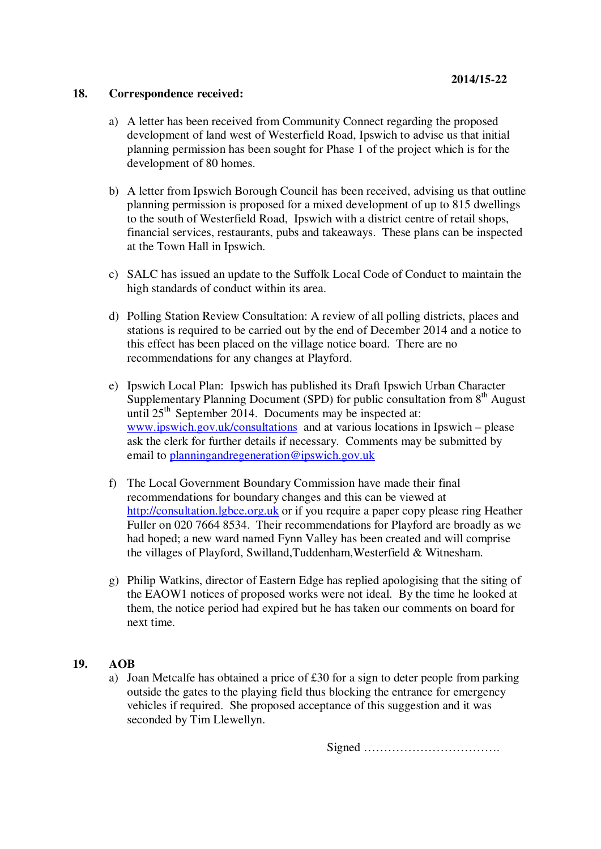### **18. Correspondence received:**

- a) A letter has been received from Community Connect regarding the proposed development of land west of Westerfield Road, Ipswich to advise us that initial planning permission has been sought for Phase 1 of the project which is for the development of 80 homes.
- b) A letter from Ipswich Borough Council has been received, advising us that outline planning permission is proposed for a mixed development of up to 815 dwellings to the south of Westerfield Road, Ipswich with a district centre of retail shops, financial services, restaurants, pubs and takeaways. These plans can be inspected at the Town Hall in Ipswich.
- c) SALC has issued an update to the Suffolk Local Code of Conduct to maintain the high standards of conduct within its area.
- d) Polling Station Review Consultation: A review of all polling districts, places and stations is required to be carried out by the end of December 2014 and a notice to this effect has been placed on the village notice board. There are no recommendations for any changes at Playford.
- e) Ipswich Local Plan: Ipswich has published its Draft Ipswich Urban Character Supplementary Planning Document (SPD) for public consultation from  $8<sup>th</sup>$  August until 25<sup>th</sup> September 2014. Documents may be inspected at: www.ipswich.gov.uk/consultations and at various locations in Ipswich – please ask the clerk for further details if necessary. Comments may be submitted by email to planningandregeneration@ipswich.gov.uk
- f) The Local Government Boundary Commission have made their final recommendations for boundary changes and this can be viewed at http://consultation.lgbce.org.uk or if you require a paper copy please ring Heather Fuller on 020 7664 8534. Their recommendations for Playford are broadly as we had hoped; a new ward named Fynn Valley has been created and will comprise the villages of Playford, Swilland,Tuddenham,Westerfield & Witnesham.
- g) Philip Watkins, director of Eastern Edge has replied apologising that the siting of the EAOW1 notices of proposed works were not ideal. By the time he looked at them, the notice period had expired but he has taken our comments on board for next time.

## **19. AOB**

a) Joan Metcalfe has obtained a price of £30 for a sign to deter people from parking outside the gates to the playing field thus blocking the entrance for emergency vehicles if required. She proposed acceptance of this suggestion and it was seconded by Tim Llewellyn.

Signed …………………………….